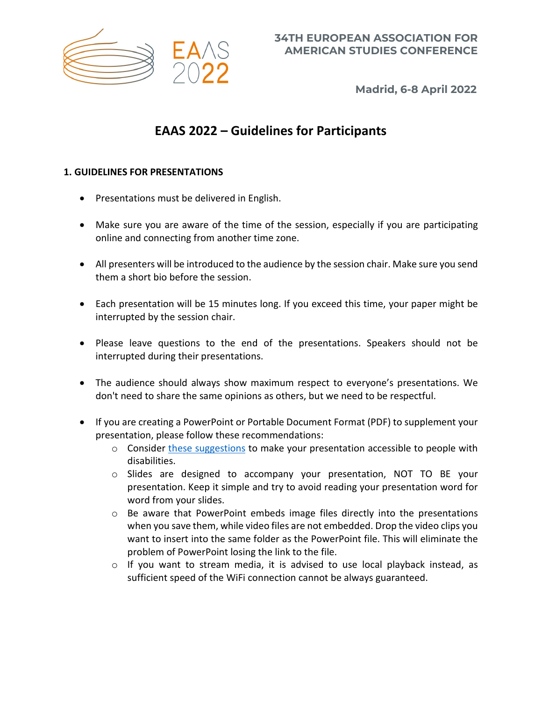

**Madrid, 6-8 April 2022**

# **EAAS 2022 – Guidelines for Participants**

## **1. GUIDELINES FOR PRESENTATIONS**

- Presentations must be delivered in English.
- Make sure you are aware of the time of the session, especially if you are participating online and connecting from another time zone.
- All presenters will be introduced to the audience by the session chair. Make sure you send them a short bio before the session.
- Each presentation will be 15 minutes long. If you exceed this time, your paper might be interrupted by the session chair.
- Please leave questions to the end of the presentations. Speakers should not be interrupted during their presentations.
- The audience should always show maximum respect to everyone's presentations. We don't need to share the same opinions as others, but we need to be respectful.
- If you are creating a PowerPoint or Portable Document Format (PDF) to supplement your presentation, please follow these recommendations:
	- o Consider [these suggestions](https://support.microsoft.com/en-us/office/make-your-powerpoint-presentations-accessible-to-people-with-disabilities-6f7772b2-2f33-4bd2-8ca7-dae3b2b3ef25) to make your presentation accessible to people with disabilities.
	- o Slides are designed to accompany your presentation, NOT TO BE your presentation. Keep it simple and try to avoid reading your presentation word for word from your slides.
	- $\circ$  Be aware that PowerPoint embeds image files directly into the presentations when you save them, while video files are not embedded. Drop the video clips you want to insert into the same folder as the PowerPoint file. This will eliminate the problem of PowerPoint losing the link to the file.
	- o If you want to stream media, it is advised to use local playback instead, as sufficient speed of the WiFi connection cannot be always guaranteed.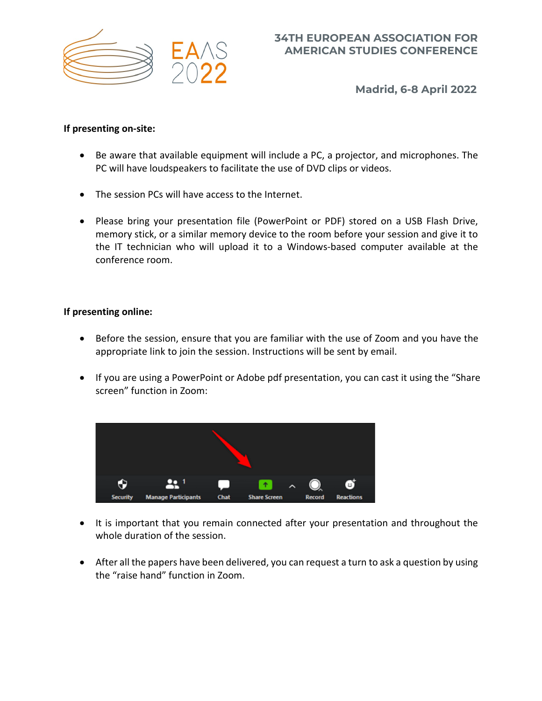

**Madrid, 6-8 April 2022**

## **If presenting on-site:**

- Be aware that available equipment will include a PC, a projector, and microphones. The PC will have loudspeakers to facilitate the use of DVD clips or videos.
- The session PCs will have access to the Internet.
- Please bring your presentation file (PowerPoint or PDF) stored on a USB Flash Drive, memory stick, or a similar memory device to the room before your session and give it to the IT technician who will upload it to a Windows-based computer available at the conference room.

## **If presenting online:**

- Before the session, ensure that you are familiar with the use of Zoom and you have the appropriate link to join the session. Instructions will be sent by email.
- If you are using a PowerPoint or Adobe pdf presentation, you can cast it using the "Share screen" function in Zoom:



- It is important that you remain connected after your presentation and throughout the whole duration of the session.
- After all the papers have been delivered, you can request a turn to ask a question by using the "raise hand" function in Zoom.